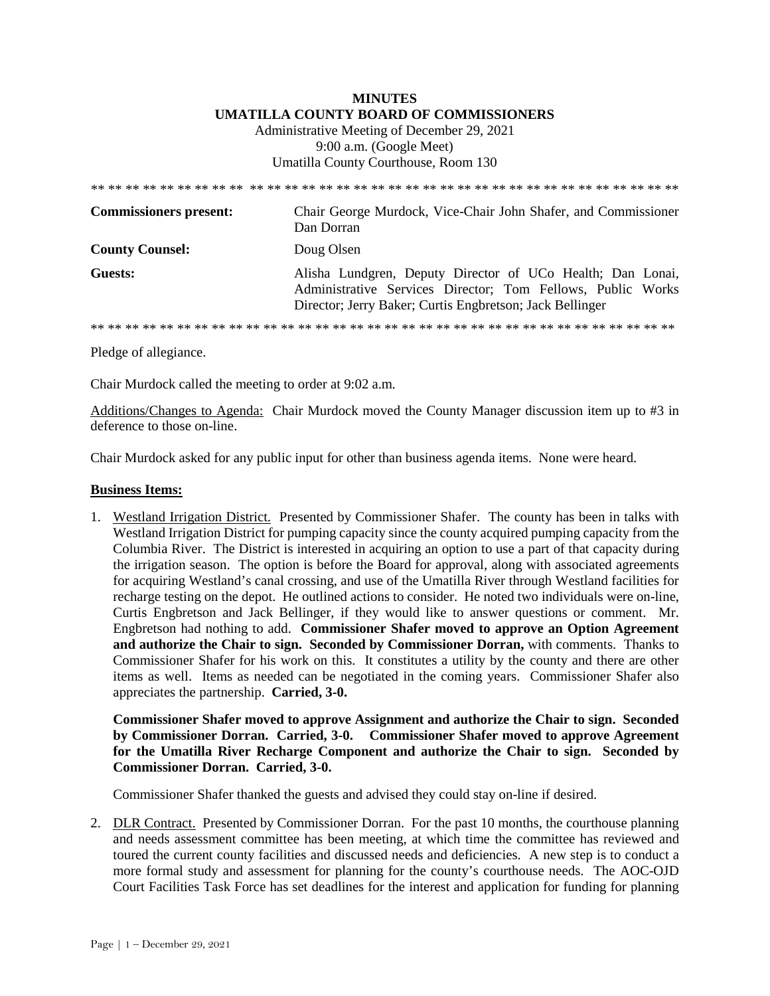## **MINUTES UMATILLA COUNTY BOARD OF COMMISSIONERS**  Administrative Meeting of December 29, 2021 9:00 a.m. (Google Meet) Umatilla County Courthouse, Room 130

| <b>Commissioners present:</b> | Chair George Murdock, Vice-Chair John Shafer, and Commissioner<br>Dan Dorran                                                                                                          |
|-------------------------------|---------------------------------------------------------------------------------------------------------------------------------------------------------------------------------------|
| <b>County Counsel:</b>        | Doug Olsen                                                                                                                                                                            |
| Guests:                       | Alisha Lundgren, Deputy Director of UCo Health; Dan Lonai,<br>Administrative Services Director; Tom Fellows, Public Works<br>Director; Jerry Baker; Curtis Engbretson; Jack Bellinger |
|                               |                                                                                                                                                                                       |

Pledge of allegiance.

Chair Murdock called the meeting to order at 9:02 a.m.

Additions/Changes to Agenda: Chair Murdock moved the County Manager discussion item up to #3 in deference to those on-line.

Chair Murdock asked for any public input for other than business agenda items. None were heard.

## **Business Items:**

1. Westland Irrigation District. Presented by Commissioner Shafer. The county has been in talks with Westland Irrigation District for pumping capacity since the county acquired pumping capacity from the Columbia River. The District is interested in acquiring an option to use a part of that capacity during the irrigation season. The option is before the Board for approval, along with associated agreements for acquiring Westland's canal crossing, and use of the Umatilla River through Westland facilities for recharge testing on the depot. He outlined actions to consider. He noted two individuals were on-line, Curtis Engbretson and Jack Bellinger, if they would like to answer questions or comment. Mr. Engbretson had nothing to add. **Commissioner Shafer moved to approve an Option Agreement and authorize the Chair to sign. Seconded by Commissioner Dorran,** with comments. Thanks to Commissioner Shafer for his work on this. It constitutes a utility by the county and there are other items as well. Items as needed can be negotiated in the coming years. Commissioner Shafer also appreciates the partnership. **Carried, 3-0.**

**Commissioner Shafer moved to approve Assignment and authorize the Chair to sign. Seconded by Commissioner Dorran. Carried, 3-0. Commissioner Shafer moved to approve Agreement for the Umatilla River Recharge Component and authorize the Chair to sign. Seconded by Commissioner Dorran. Carried, 3-0.** 

Commissioner Shafer thanked the guests and advised they could stay on-line if desired.

2. DLR Contract. Presented by Commissioner Dorran. For the past 10 months, the courthouse planning and needs assessment committee has been meeting, at which time the committee has reviewed and toured the current county facilities and discussed needs and deficiencies. A new step is to conduct a more formal study and assessment for planning for the county's courthouse needs. The AOC-OJD Court Facilities Task Force has set deadlines for the interest and application for funding for planning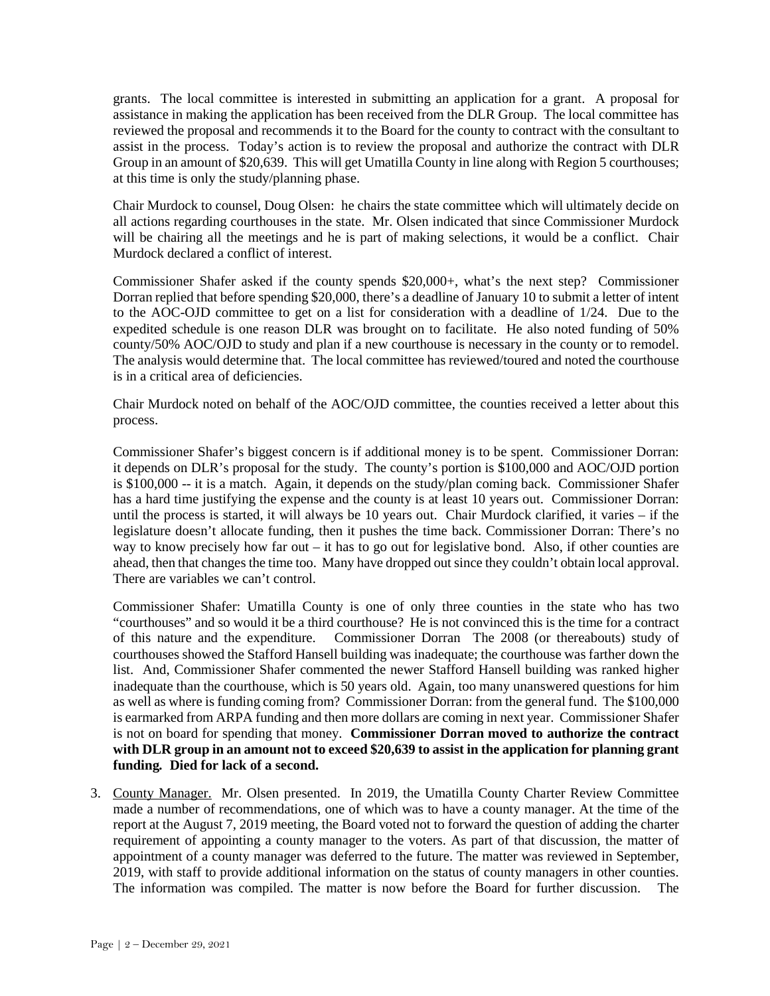grants. The local committee is interested in submitting an application for a grant. A proposal for assistance in making the application has been received from the DLR Group. The local committee has reviewed the proposal and recommends it to the Board for the county to contract with the consultant to assist in the process. Today's action is to review the proposal and authorize the contract with DLR Group in an amount of \$20,639. This will get Umatilla County in line along with Region 5 courthouses; at this time is only the study/planning phase.

Chair Murdock to counsel, Doug Olsen: he chairs the state committee which will ultimately decide on all actions regarding courthouses in the state. Mr. Olsen indicated that since Commissioner Murdock will be chairing all the meetings and he is part of making selections, it would be a conflict. Chair Murdock declared a conflict of interest.

Commissioner Shafer asked if the county spends \$20,000+, what's the next step? Commissioner Dorran replied that before spending \$20,000, there's a deadline of January 10 to submit a letter of intent to the AOC-OJD committee to get on a list for consideration with a deadline of 1/24. Due to the expedited schedule is one reason DLR was brought on to facilitate. He also noted funding of 50% county/50% AOC/OJD to study and plan if a new courthouse is necessary in the county or to remodel. The analysis would determine that. The local committee has reviewed/toured and noted the courthouse is in a critical area of deficiencies.

Chair Murdock noted on behalf of the AOC/OJD committee, the counties received a letter about this process.

Commissioner Shafer's biggest concern is if additional money is to be spent. Commissioner Dorran: it depends on DLR's proposal for the study. The county's portion is \$100,000 and AOC/OJD portion is \$100,000 -- it is a match. Again, it depends on the study/plan coming back. Commissioner Shafer has a hard time justifying the expense and the county is at least 10 years out. Commissioner Dorran: until the process is started, it will always be 10 years out. Chair Murdock clarified, it varies – if the legislature doesn't allocate funding, then it pushes the time back. Commissioner Dorran: There's no way to know precisely how far out – it has to go out for legislative bond. Also, if other counties are ahead, then that changes the time too. Many have dropped out since they couldn't obtain local approval. There are variables we can't control.

Commissioner Shafer: Umatilla County is one of only three counties in the state who has two "courthouses" and so would it be a third courthouse? He is not convinced this is the time for a contract of this nature and the expenditure. Commissioner Dorran The 2008 (or thereabouts) study of courthouses showed the Stafford Hansell building was inadequate; the courthouse was farther down the list. And, Commissioner Shafer commented the newer Stafford Hansell building was ranked higher inadequate than the courthouse, which is 50 years old. Again, too many unanswered questions for him as well as where is funding coming from? Commissioner Dorran: from the general fund. The \$100,000 is earmarked from ARPA funding and then more dollars are coming in next year. Commissioner Shafer is not on board for spending that money. **Commissioner Dorran moved to authorize the contract with DLR group in an amount not to exceed \$20,639 to assist in the application for planning grant funding***.* **Died for lack of a second.**

3. County Manager. Mr. Olsen presented. In 2019, the Umatilla County Charter Review Committee made a number of recommendations, one of which was to have a county manager. At the time of the report at the August 7, 2019 meeting, the Board voted not to forward the question of adding the charter requirement of appointing a county manager to the voters. As part of that discussion, the matter of appointment of a county manager was deferred to the future. The matter was reviewed in September, 2019, with staff to provide additional information on the status of county managers in other counties. The information was compiled. The matter is now before the Board for further discussion. The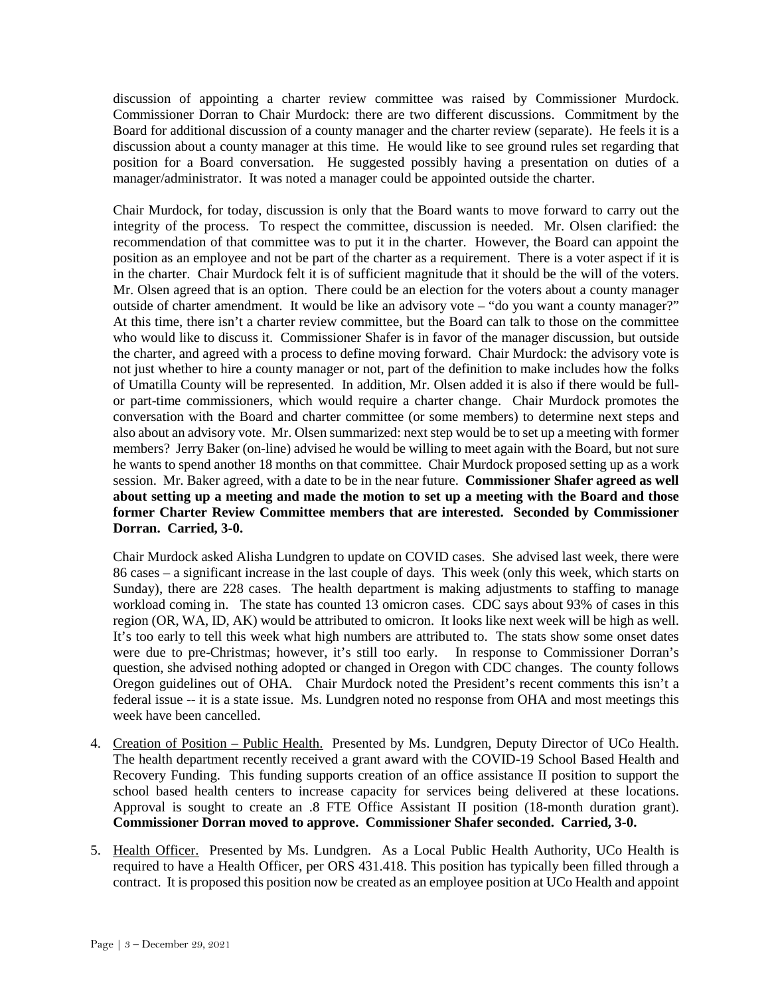discussion of appointing a charter review committee was raised by Commissioner Murdock. Commissioner Dorran to Chair Murdock: there are two different discussions. Commitment by the Board for additional discussion of a county manager and the charter review (separate). He feels it is a discussion about a county manager at this time. He would like to see ground rules set regarding that position for a Board conversation. He suggested possibly having a presentation on duties of a manager/administrator. It was noted a manager could be appointed outside the charter.

Chair Murdock, for today, discussion is only that the Board wants to move forward to carry out the integrity of the process. To respect the committee, discussion is needed. Mr. Olsen clarified: the recommendation of that committee was to put it in the charter. However, the Board can appoint the position as an employee and not be part of the charter as a requirement. There is a voter aspect if it is in the charter. Chair Murdock felt it is of sufficient magnitude that it should be the will of the voters. Mr. Olsen agreed that is an option. There could be an election for the voters about a county manager outside of charter amendment. It would be like an advisory vote – "do you want a county manager?" At this time, there isn't a charter review committee, but the Board can talk to those on the committee who would like to discuss it. Commissioner Shafer is in favor of the manager discussion, but outside the charter, and agreed with a process to define moving forward. Chair Murdock: the advisory vote is not just whether to hire a county manager or not, part of the definition to make includes how the folks of Umatilla County will be represented. In addition, Mr. Olsen added it is also if there would be fullor part-time commissioners, which would require a charter change. Chair Murdock promotes the conversation with the Board and charter committee (or some members) to determine next steps and also about an advisory vote. Mr. Olsen summarized: next step would be to set up a meeting with former members? Jerry Baker (on-line) advised he would be willing to meet again with the Board, but not sure he wants to spend another 18 months on that committee. Chair Murdock proposed setting up as a work session. Mr. Baker agreed, with a date to be in the near future. **Commissioner Shafer agreed as well about setting up a meeting and made the motion to set up a meeting with the Board and those former Charter Review Committee members that are interested. Seconded by Commissioner Dorran. Carried, 3-0.** 

Chair Murdock asked Alisha Lundgren to update on COVID cases. She advised last week, there were 86 cases – a significant increase in the last couple of days. This week (only this week, which starts on Sunday), there are 228 cases. The health department is making adjustments to staffing to manage workload coming in. The state has counted 13 omicron cases. CDC says about 93% of cases in this region (OR, WA, ID, AK) would be attributed to omicron. It looks like next week will be high as well. It's too early to tell this week what high numbers are attributed to. The stats show some onset dates were due to pre-Christmas; however, it's still too early. In response to Commissioner Dorran's question, she advised nothing adopted or changed in Oregon with CDC changes. The county follows Oregon guidelines out of OHA. Chair Murdock noted the President's recent comments this isn't a federal issue -- it is a state issue. Ms. Lundgren noted no response from OHA and most meetings this week have been cancelled.

- 4. Creation of Position Public Health. Presented by Ms. Lundgren, Deputy Director of UCo Health. The health department recently received a grant award with the COVID-19 School Based Health and Recovery Funding. This funding supports creation of an office assistance II position to support the school based health centers to increase capacity for services being delivered at these locations. Approval is sought to create an .8 FTE Office Assistant II position (18-month duration grant). **Commissioner Dorran moved to approve. Commissioner Shafer seconded. Carried, 3-0.**
- 5. Health Officer. Presented by Ms. Lundgren. As a Local Public Health Authority, UCo Health is required to have a Health Officer, per ORS 431.418. This position has typically been filled through a contract. It is proposed this position now be created as an employee position at UCo Health and appoint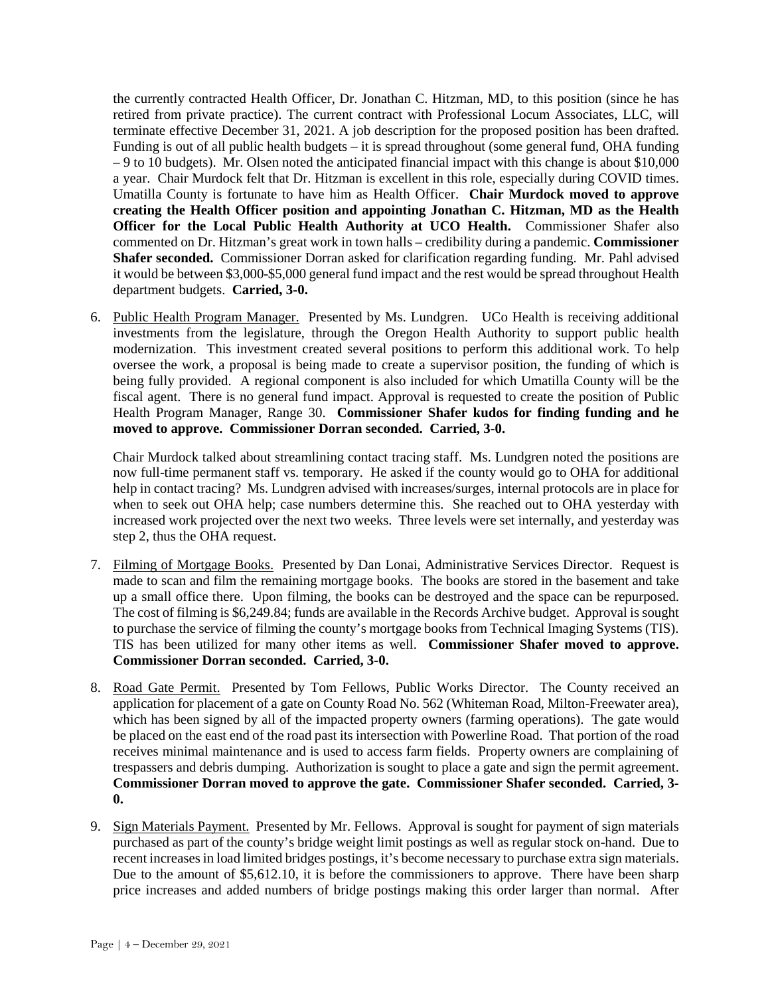the currently contracted Health Officer, Dr. Jonathan C. Hitzman, MD, to this position (since he has retired from private practice). The current contract with Professional Locum Associates, LLC, will terminate effective December 31, 2021. A job description for the proposed position has been drafted. Funding is out of all public health budgets – it is spread throughout (some general fund, OHA funding – 9 to 10 budgets). Mr. Olsen noted the anticipated financial impact with this change is about \$10,000 a year. Chair Murdock felt that Dr. Hitzman is excellent in this role, especially during COVID times. Umatilla County is fortunate to have him as Health Officer. **Chair Murdock moved to approve creating the Health Officer position and appointing Jonathan C. Hitzman, MD as the Health Officer for the Local Public Health Authority at UCO Health.** Commissioner Shafer also commented on Dr. Hitzman's great work in town halls – credibility during a pandemic. **Commissioner Shafer seconded.** Commissioner Dorran asked for clarification regarding funding. Mr. Pahl advised it would be between \$3,000-\$5,000 general fund impact and the rest would be spread throughout Health department budgets. **Carried, 3-0.**

6. Public Health Program Manager. Presented by Ms. Lundgren. UCo Health is receiving additional investments from the legislature, through the Oregon Health Authority to support public health modernization. This investment created several positions to perform this additional work. To help oversee the work, a proposal is being made to create a supervisor position, the funding of which is being fully provided. A regional component is also included for which Umatilla County will be the fiscal agent. There is no general fund impact. Approval is requested to create the position of Public Health Program Manager, Range 30. **Commissioner Shafer kudos for finding funding and he moved to approve. Commissioner Dorran seconded. Carried, 3-0.**

Chair Murdock talked about streamlining contact tracing staff. Ms. Lundgren noted the positions are now full-time permanent staff vs. temporary. He asked if the county would go to OHA for additional help in contact tracing? Ms. Lundgren advised with increases/surges, internal protocols are in place for when to seek out OHA help; case numbers determine this. She reached out to OHA yesterday with increased work projected over the next two weeks. Three levels were set internally, and yesterday was step 2, thus the OHA request.

- 7. Filming of Mortgage Books. Presented by Dan Lonai, Administrative Services Director. Request is made to scan and film the remaining mortgage books. The books are stored in the basement and take up a small office there. Upon filming, the books can be destroyed and the space can be repurposed. The cost of filming is \$6,249.84; funds are available in the Records Archive budget. Approval is sought to purchase the service of filming the county's mortgage books from Technical Imaging Systems (TIS). TIS has been utilized for many other items as well. **Commissioner Shafer moved to approve. Commissioner Dorran seconded. Carried, 3-0.**
- 8. Road Gate Permit. Presented by Tom Fellows, Public Works Director. The County received an application for placement of a gate on County Road No. 562 (Whiteman Road, Milton-Freewater area), which has been signed by all of the impacted property owners (farming operations). The gate would be placed on the east end of the road past its intersection with Powerline Road. That portion of the road receives minimal maintenance and is used to access farm fields. Property owners are complaining of trespassers and debris dumping. Authorization is sought to place a gate and sign the permit agreement. **Commissioner Dorran moved to approve the gate. Commissioner Shafer seconded. Carried, 3- 0.**
- 9. Sign Materials Payment. Presented by Mr. Fellows. Approval is sought for payment of sign materials purchased as part of the county's bridge weight limit postings as well as regular stock on-hand. Due to recent increases in load limited bridges postings, it's become necessary to purchase extra sign materials. Due to the amount of \$5,612.10, it is before the commissioners to approve. There have been sharp price increases and added numbers of bridge postings making this order larger than normal. After